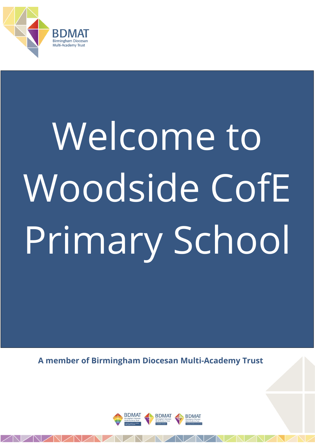

# Welcome to Woodside CofE Primary School

**A member of Birmingham Diocesan Multi-Academy Trust**

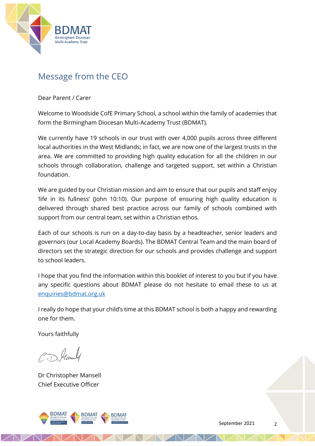

## Message from the CEO

Dear Parent / Carer

Welcome to Woodside CofE Primary School, a school within the family of academies that form the Birmingham Diocesan Multi-Academy Trust (BDMAT).

We currently have 19 schools in our trust with over 4,000 pupils across three different local authorities in the West Midlands; in fact, we are now one of the largest trusts in the area. We are committed to providing high quality education for all the children in our schools through collaboration, challenge and targeted support, set within a Christian foundation.

We are guided by our Christian mission and aim to ensure that our pupils and staff enjoy 'life in its fullness' (John 10:10). Our purpose of ensuring high quality education is delivered through shared best practice across our family of schools combined with support from our central team, set within a Christian ethos.

Each of our schools is run on a day-to-day basis by a headteacher, senior leaders and governors (our Local Academy Boards). The BDMAT Central Team and the main board of directors set the strategic direction for our schools and provides challenge and support to school leaders.

I hope that you find the information within this booklet of interest to you but if you have any specific questions about BDMAT please do not hesitate to email these to us at [enquiries@bdmat.org.uk](mailto:enquiries@bdmat.org.uk)

I really do hope that your child's time at this BDMAT school is both a happy and rewarding one for them.

Yours faithfully

C.D. Hanaly

Dr Christopher Mansell Chief Executive Officer

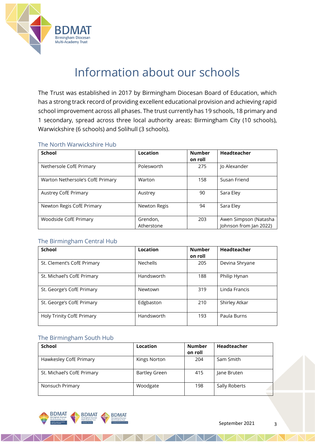

# Information about our schools

The Trust was established in 2017 by Birmingham Diocesan Board of Education, which has a strong track record of providing excellent educational provision and achieving rapid school improvement across all phases. The trust currently has 19 schools, 18 primary and 1 secondary, spread across three local authority areas: Birmingham City (10 schools), Warwickshire (6 schools) and Solihull (3 schools).

#### The North Warwickshire Hub

| School                           | Location               | <b>Number</b><br>on roll | Headteacher                                     |
|----------------------------------|------------------------|--------------------------|-------------------------------------------------|
| Nethersole CofE Primary          | Polesworth             | 275                      | Jo Alexander                                    |
| Warton Nethersole's CofE Primary | Warton                 | 158                      | Susan Friend                                    |
| Austrey CofE Primary             | Austrey                | 90                       | Sara Eley                                       |
| Newton Regis CofE Primary        | Newton Regis           | 94                       | Sara Eley                                       |
| Woodside CofE Primary            | Grendon,<br>Atherstone | 203                      | Awen Simpson (Natasha<br>Johnson from Jan 2022) |

#### The Birmingham Central Hub

| <b>School</b>              | Location   | <b>Number</b><br>on roll | Headteacher    |
|----------------------------|------------|--------------------------|----------------|
| St. Clement's CofE Primary | Nechells   | 205                      | Devina Shryane |
| St. Michael's CofE Primary | Handsworth | 188                      | Philip Hynan   |
| St. George's CofE Primary  | Newtown    | 319                      | Linda Francis  |
| St. George's CofE Primary  | Edgbaston  | 210                      | Shirley Atkar  |
| Holy Trinity CofE Primary  | Handsworth | 193                      | Paula Burns    |

#### The Birmingham South Hub

| School                     | Location             | <b>Number</b><br>on roll | Headteacher   |
|----------------------------|----------------------|--------------------------|---------------|
| Hawkesley CofE Primary     | Kings Norton         | 204                      | Sam Smith     |
| St. Michael's CofE Primary | <b>Bartley Green</b> | 415                      | Jane Bruten   |
| Nonsuch Primary            | Woodgate             | 198                      | Sally Roberts |

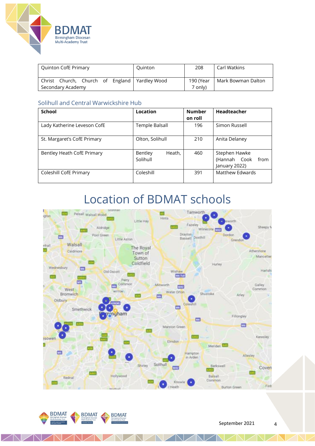

| <b>Quinton CofE Primary</b>                                          | Quinton | 208                  | Carl Watkins       |
|----------------------------------------------------------------------|---------|----------------------|--------------------|
| Christ Church, Church of England   Yardley Wood<br>Secondary Academy |         | 190 (Year<br>7 only) | Mark Bowman Dalton |

#### Solihull and Central Warwickshire Hub

| School                      | Location                      | <b>Number</b><br>on roll | Headteacher                                            |
|-----------------------------|-------------------------------|--------------------------|--------------------------------------------------------|
| Lady Katherine Leveson CofE | Temple Balsall                | 196                      | Simon Russell                                          |
| St. Margaret's CofE Primary | Olton, Solihull               | 210                      | Anita Delaney                                          |
| Bentley Heath CofE Primary  | Heath,<br>Bentley<br>Solihull | 460                      | Stephen Hawke<br>(Hannah Cook<br>from<br>January 2022) |
| Coleshill CofE Primary      | Coleshill                     | 391                      | Matthew Edwards                                        |

# Location of BDMAT schools





 $\triangleleft$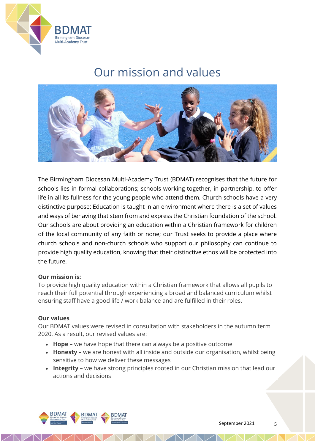

# Our mission and values



The Birmingham Diocesan Multi-Academy Trust (BDMAT) recognises that the future for schools lies in formal collaborations; schools working together, in partnership, to offer life in all its fullness for the young people who attend them. Church schools have a very distinctive purpose: Education is taught in an environment where there is a set of values and ways of behaving that stem from and express the Christian foundation of the school. Our schools are about providing an education within a Christian framework for children of the local community of any faith or none; our Trust seeks to provide a place where church schools and non-church schools who support our philosophy can continue to provide high quality education, knowing that their distinctive ethos will be protected into the future.

#### **Our mission is:**

To provide high quality education within a Christian framework that allows all pupils to reach their full potential through experiencing a broad and balanced curriculum whilst ensuring staff have a good life / work balance and are fulfilled in their roles.

#### **Our values**

Our BDMAT values were revised in consultation with stakeholders in the autumn term 2020. As a result, our revised values are:

- **Hope** we have hope that there can always be a positive outcome
- **Honesty** we are honest with all inside and outside our organisation, whilst being sensitive to how we deliver these messages
- **Integrity** we have strong principles rooted in our Christian mission that lead our actions and decisions

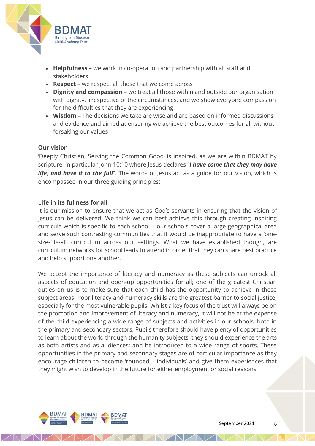

- **Helpfulness** we work in co-operation and partnership with all staff and stakeholders
- **Respect** we respect all those that we come across
- **Dignity and compassion** we treat all those within and outside our organisation with dignity, irrespective of the circumstances, and we show everyone compassion for the difficulties that they are experiencing
- **Wisdom** The decisions we take are wise and are based on informed discussions and evidence and aimed at ensuring we achieve the best outcomes for all without forsaking our values

#### **Our vision**

'Deeply Christian, Serving the Common Good' is inspired, as we are within BDMAT by scripture, in particular John 10:10 where Jesus declares "*I have come that they may have life, and have it to the full*". The words of Jesus act as a guide for our vision, which is encompassed in our three guiding principles:

#### **Life in its fullness for all**

It is our mission to ensure that we act as God's servants in ensuring that the vision of Jesus can be delivered. We think we can best achieve this through creating inspiring curricula which is specific to each school – our schools cover a large geographical area and serve such contrasting communities that it would be inappropriate to have a 'onesize-fits-all' curriculum across our settings. What we have established though, are curriculum networks for school leads to attend in order that they can share best practice and help support one another.

We accept the importance of literacy and numeracy as these subjects can unlock all aspects of education and open-up opportunities for all; one of the greatest Christian duties on us is to make sure that each child has the opportunity to achieve in these subject areas. Poor literacy and numeracy skills are the greatest barrier to social justice, especially for the most vulnerable pupils. Whilst a key focus of the trust will always be on the promotion and improvement of literacy and numeracy, it will not be at the expense of the child experiencing a wide range of subjects and activities in our schools, both in the primary and secondary sectors. Pupils therefore should have plenty of opportunities to learn about the world through the humanity subjects; they should experience the arts as both artists and as audiences; and be introduced to a wide range of sports. These opportunities in the primary and secondary stages are of particular importance as they encourage children to become 'rounded – individuals' and give them experiences that they might wish to develop in the future for either employment or social reasons.

 $\sqrt{N}$ 

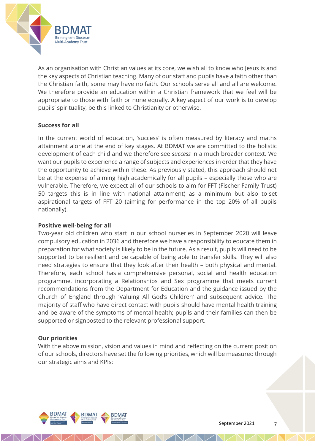

As an organisation with Christian values at its core, we wish all to know who Jesus is and the key aspects of Christian teaching. Many of our staff and pupils have a faith other than the Christian faith, some may have no faith. Our schools serve all and all are welcome. We therefore provide an education within a Christian framework that we feel will be appropriate to those with faith or none equally. A key aspect of our work is to develop pupils' spirituality, be this linked to Christianity or otherwise.

#### **Success for all**

In the current world of education, 'success' is often measured by literacy and maths attainment alone at the end of key stages. At BDMAT we are committed to the holistic development of each child and we therefore see *success* in a much broader context. We want our pupils to experience a range of subjects and experiences in order that they have the opportunity to achieve within these. As previously stated, this approach should not be at the expense of aiming high academically for all pupils – especially those who are vulnerable. Therefore, we expect all of our schools to aim for FFT (Fischer Family Trust) 50 targets this is in line with national attainment) as a minimum but also to set aspirational targets of FFT 20 (aiming for performance in the top 20% of all pupils nationally).

#### **Positive well-being for all**

Two-year old children who start in our school nurseries in September 2020 will leave compulsory education in 2036 and therefore we have a responsibility to educate them in preparation for what society is likely to be in the future. As a result, pupils will need to be supported to be resilient and be capable of being able to transfer skills. They will also need strategies to ensure that they look after their health – both physical and mental. Therefore, each school has a comprehensive personal, social and health education programme, incorporating a Relationships and Sex programme that meets current recommendations from the Department for Education and the guidance issued by the Church of England through 'Valuing All God's Children' and subsequent advice. The majority of staff who have direct contact with pupils should have mental health training and be aware of the symptoms of mental health; pupils and their families can then be supported or signposted to the relevant professional support.

#### **Our priorities**

With the above mission, vision and values in mind and reflecting on the current position of our schools, directors have set the following priorities, which will be measured through our strategic aims and KPIs:

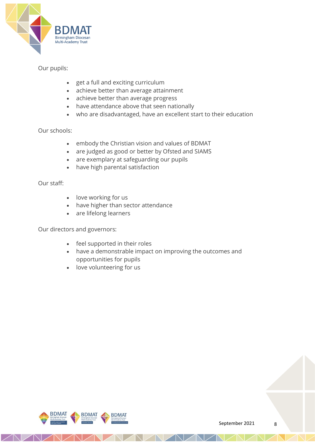

#### Our pupils:

- get a full and exciting curriculum
- achieve better than average attainment
- achieve better than average progress
- have attendance above that seen nationally
- who are disadvantaged, have an excellent start to their education

#### Our schools:

- embody the Christian vision and values of BDMAT
- are judged as good or better by Ofsted and SIAMS
- are exemplary at safeguarding our pupils
- have high parental satisfaction

Our staff:

- love working for us
- have higher than sector attendance
- are lifelong learners

Our directors and governors:

- feel supported in their roles
- have a demonstrable impact on improving the outcomes and opportunities for pupils
- love volunteering for us

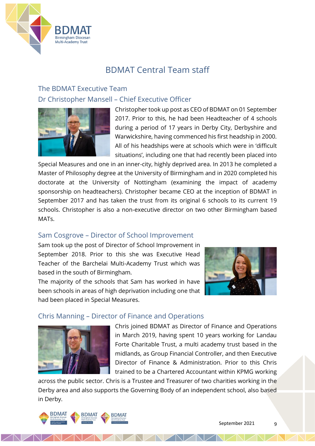

## BDMAT Central Team staff

## The BDMAT Executive Team Dr Christopher Mansell – Chief Executive Officer



Christopher took up post as CEO of BDMAT on 01 September 2017. Prior to this, he had been Headteacher of 4 schools during a period of 17 years in Derby City, Derbyshire and Warwickshire, having commenced his first headship in 2000. All of his headships were at schools which were in 'difficult situations', including one that had recently been placed into

Special Measures and one in an inner-city, highly deprived area. In 2013 he completed a Master of Philosophy degree at the University of Birmingham and in 2020 completed his doctorate at the University of Nottingham (examining the impact of academy sponsorship on headteachers). Christopher became CEO at the inception of BDMAT in September 2017 and has taken the trust from its original 6 schools to its current 19 schools. Christopher is also a non-executive director on two other Birmingham based MATs.

### Sam Cosgrove – Director of School Improvement

Sam took up the post of Director of School Improvement in September 2018. Prior to this she was Executive Head Teacher of the Barchelai Multi-Academy Trust which was based in the south of Birmingham.

The majority of the schools that Sam has worked in have been schools in areas of high deprivation including one that had been placed in Special Measures.



#### Chris Manning – Director of Finance and Operations



Chris joined BDMAT as Director of Finance and Operations in March 2019, having spent 10 years working for Landau Forte Charitable Trust, a multi academy trust based in the midlands, as Group Financial Controller, and then Executive Director of Finance & Administration. Prior to this Chris trained to be a Chartered Accountant within KPMG working

across the public sector. Chris is a Trustee and Treasurer of two charities working in the Derby area and also supports the Governing Body of an independent school, also based in Derby.

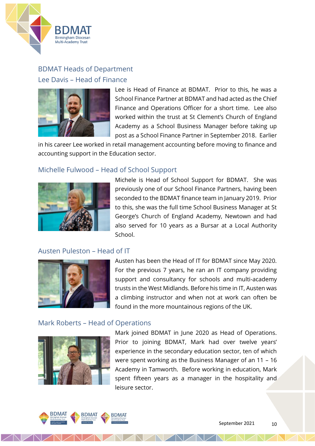

## BDMAT Heads of Department Lee Davis – Head of Finance



Lee is Head of Finance at BDMAT. Prior to this, he was a School Finance Partner at BDMAT and had acted as the Chief Finance and Operations Officer for a short time. Lee also worked within the trust at St Clement's Church of England Academy as a School Business Manager before taking up post as a School Finance Partner in September 2018. Earlier

in his career Lee worked in retail management accounting before moving to finance and accounting support in the Education sector.

#### Michelle Fulwood – Head of School Support



Michele is Head of School Support for BDMAT. She was previously one of our School Finance Partners, having been seconded to the BDMAT finance team in January 2019. Prior to this, she was the full time School Business Manager at St George's Church of England Academy, Newtown and had also served for 10 years as a Bursar at a Local Authority School.

#### Austen Puleston – Head of IT



Austen has been the Head of IT for BDMAT since May 2020. For the previous 7 years, he ran an IT company providing support and consultancy for schools and multi-academy trusts in the West Midlands. Before his time in IT, Austen was a climbing instructor and when not at work can often be found in the more mountainous regions of the UK.

#### Mark Roberts – Head of Operations



Mark joined BDMAT in June 2020 as Head of Operations. Prior to joining BDMAT, Mark had over twelve years' experience in the secondary education sector, ten of which were spent working as the Business Manager of an 11 – 16 Academy in Tamworth. Before working in education, Mark spent fifteen years as a manager in the hospitality and leisure sector.